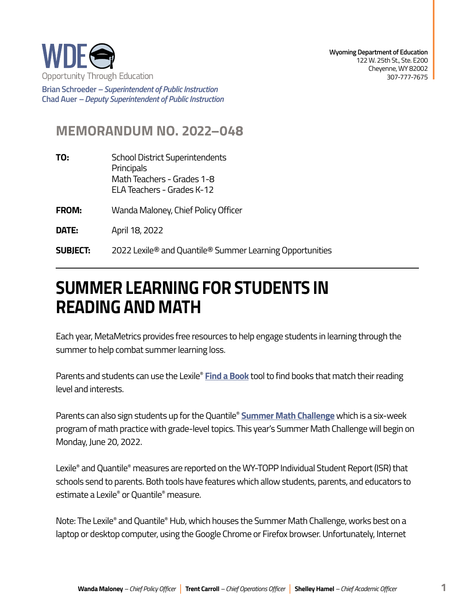

**Brian Schroeder –***Superintendent of Public Instruction*  **Chad Auer** *– Deputy Superintendent of Public Instruction* 

## **MEMORANDUM NO. 2022–048**

- **TO:** School District Superintendents **Principals** Math Teachers - Grades 1-8 ELA Teachers - Grades K-12
- **FROM:** Wanda Maloney, Chief Policy Officer

**DATE:** April 18, 2022

**SUBJECT:** 2022 Lexile® and Quantile® Summer Learning Opportunities

## **SUMMER LEARNING FOR STUDENTS IN READING AND MATH**

Each year, MetaMetrics provides free resources to help engage students in learning through the summer to help combat summer learning loss.

Parents and students can use the Lexile® **[Find a Book](https://hub.lexile.com/find-a-book/search)** tool to find books that match their reading level and interests.

Parents can also sign students up for the Quantile® **[Summer Math Challenge](https://hub.lexile.com/summer-math-challenge)** which is a six-week program of math practice with grade-level topics. This year's Summer Math Challenge will begin on Monday, June 20, 2022.

Lexile® and Quantile® measures are reported on the WY-TOPP Individual Student Report (ISR) that schools send to parents. Both tools have features which allow students, parents, and educators to estimate a Lexile® or Quantile® measure.

Note: The Lexile® and Quantile® Hub, which houses the Summer Math Challenge, works best on a laptop or desktop computer, using the Google Chrome or Firefox browser. Unfortunately, Internet